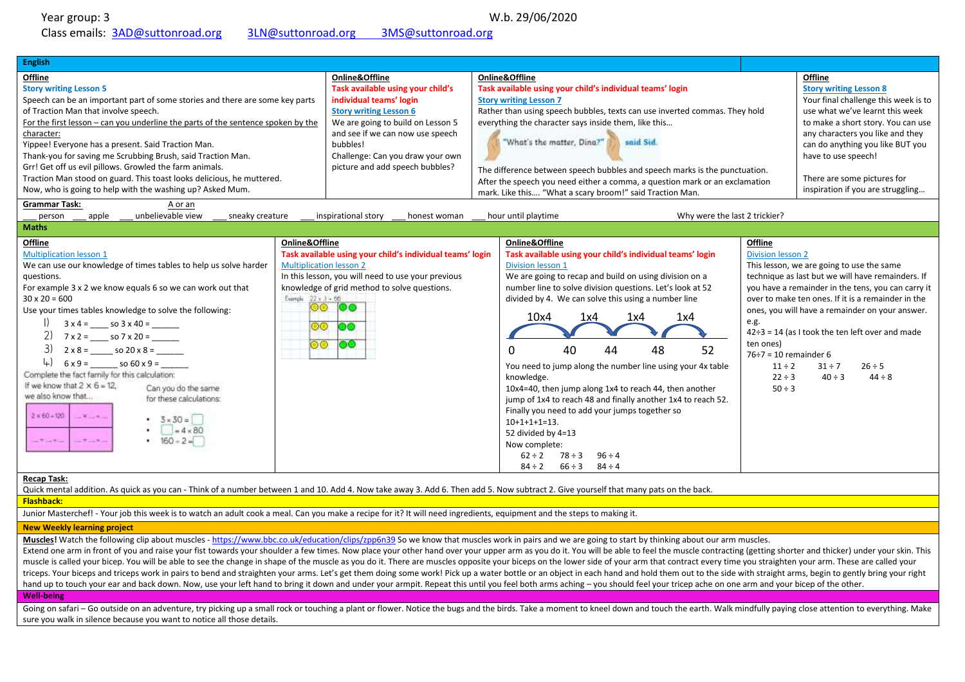Year group: 3 W.b. 29/06/2020 Class emails: [3AD@suttonroad.org](mailto:3AD@suttonroad.org) [3LN@suttonroad.org](mailto:3je@holgateprimary.org) 3MS@suttonroad.org

| <b>English</b>                                                                                                                                                                                                                                                                                                                                                                                                                                                                                                                                                                                                                                                                                                                                                                |                                                                                     |                                                                                                                                                                                                                                                                             |  |                                                                                                                                                                                                                                                                                                                                                                                                                                                                                                                                                                                                                                                                                                                                                            |                                                                                                                                       |                                                                                                                                                                                                                                                                                                                                                                                    |
|-------------------------------------------------------------------------------------------------------------------------------------------------------------------------------------------------------------------------------------------------------------------------------------------------------------------------------------------------------------------------------------------------------------------------------------------------------------------------------------------------------------------------------------------------------------------------------------------------------------------------------------------------------------------------------------------------------------------------------------------------------------------------------|-------------------------------------------------------------------------------------|-----------------------------------------------------------------------------------------------------------------------------------------------------------------------------------------------------------------------------------------------------------------------------|--|------------------------------------------------------------------------------------------------------------------------------------------------------------------------------------------------------------------------------------------------------------------------------------------------------------------------------------------------------------------------------------------------------------------------------------------------------------------------------------------------------------------------------------------------------------------------------------------------------------------------------------------------------------------------------------------------------------------------------------------------------------|---------------------------------------------------------------------------------------------------------------------------------------|------------------------------------------------------------------------------------------------------------------------------------------------------------------------------------------------------------------------------------------------------------------------------------------------------------------------------------------------------------------------------------|
| Offline<br><b>Story writing Lesson 5</b><br>Speech can be an important part of some stories and there are some key parts<br>of Traction Man that involve speech.<br>For the first lesson – can you underline the parts of the sentence spoken by the<br>character:<br>Yippee! Everyone has a present. Said Traction Man.<br>Thank-you for saving me Scrubbing Brush, said Traction Man.<br>Grr! Get off us evil pillows. Growled the farm animals.<br>Traction Man stood on guard. This toast looks delicious, he muttered.<br>Now, who is going to help with the washing up? Asked Mum.                                                                                                                                                                                      |                                                                                     | Online&Offline<br>Task available using your child's<br>individual teams' login<br><b>Story writing Lesson 6</b><br>We are going to build on Lesson 5<br>and see if we can now use speech<br>bubbles!<br>Challenge: Can you draw your own<br>picture and add speech bubbles? |  | Online&Offline<br>Task available using your child's individual teams' login<br><b>Story writing Lesson 7</b><br>Rather than using speech bubbles, texts can use inverted commas. They hold<br>everything the character says inside them, like this<br>"What's the matter, Dina?"<br>said Sid.<br>The difference between speech bubbles and speech marks is the punctuation.<br>After the speech you need either a comma, a question mark or an exclamation<br>mark. Like this "What a scary broom!" said Traction Man.                                                                                                                                                                                                                                     |                                                                                                                                       | Offline<br><b>Story writing Lesson 8</b><br>Your final challenge this week is to<br>use what we've learnt this week<br>to make a short story. You can use<br>any characters you like and they<br>can do anything you like BUT you<br>have to use speech!<br>There are some pictures for<br>inspiration if you are struggling                                                       |
| <b>Grammar Task:</b><br>A or an<br>unbelievable view<br>sneaky creature<br>hour until playtime<br>Why were the last 2 trickier?<br>apple<br>inspirational story<br>honest woman<br>person                                                                                                                                                                                                                                                                                                                                                                                                                                                                                                                                                                                     |                                                                                     |                                                                                                                                                                                                                                                                             |  |                                                                                                                                                                                                                                                                                                                                                                                                                                                                                                                                                                                                                                                                                                                                                            |                                                                                                                                       |                                                                                                                                                                                                                                                                                                                                                                                    |
| <b>Maths</b>                                                                                                                                                                                                                                                                                                                                                                                                                                                                                                                                                                                                                                                                                                                                                                  |                                                                                     |                                                                                                                                                                                                                                                                             |  |                                                                                                                                                                                                                                                                                                                                                                                                                                                                                                                                                                                                                                                                                                                                                            |                                                                                                                                       |                                                                                                                                                                                                                                                                                                                                                                                    |
| <b>Offline</b><br><b>Multiplication lesson 1</b><br>We can use our knowledge of times tables to help us solve harder<br>questions.<br>For example 3 x 2 we know equals 6 so we can work out that<br>$30 \times 20 = 600$<br>Use your times tables knowledge to solve the following:<br>$\frac{1}{2}$ 3 x 4 = ______ so 3 x 40 = _______<br>$7 \times 2 =$ _______ so $7 \times 20 =$ ________<br>$3)$ 2 x 8 = ______ so 20 x 8 = ______<br>$\downarrow$ ) $6 \times 9 =$ so $60 \times 9 =$<br>Complete the fact family for this calculation:<br>If we know that $2 \times 6 = 12$ .<br>Can you do the same<br>we also know that<br>for these calculations:<br>$2 + 60 - 120$<br>$K = 1$<br>$-3 \times 30 =$<br>$-4 × 80$<br>• $160 + 2 =$<br>$-1 - 1 - 1$<br>$-$ There There | Online&Offline<br><b>Multiplication lesson 2</b><br>Example 22 x 1 - 66<br>಄಄<br>මෙ | Task available using your child's individual teams' login<br>In this lesson, you will need to use your previous<br>knowledge of grid method to solve questions.<br>©®   ©©<br>60<br>00                                                                                      |  | Online&Offline<br>Task available using your child's individual teams' login<br>Division lesson 1<br>We are going to recap and build on using division on a<br>number line to solve division questions. Let's look at 52<br>divided by 4. We can solve this using a number line<br>1x4<br>10x4<br>1x4<br>1x4<br>52<br>40<br>48<br>$\Omega$<br>44<br>You need to jump along the number line using your 4x table<br>knowledge.<br>10x4=40, then jump along 1x4 to reach 44, then another<br>jump of 1x4 to reach 48 and finally another 1x4 to reach 52.<br>Finally you need to add your jumps together so<br>$10+1+1+1=13.$<br>52 divided by 4=13<br>Now complete:<br>$62 \div 2$<br>$78 \div 3$<br>$96 \div 4$<br>$66 \div 3$<br>$84 \div 4$<br>$84 \div 2$ | Offline<br><b>Division lesson 2</b><br>e.g.<br>ten ones)<br>$76 \div 7 = 10$ remainder 6<br>$11 \div 2$<br>$22 \div 3$<br>$50 \div 3$ | This lesson, we are going to use the same<br>technique as last but we will have remainders. If<br>you have a remainder in the tens, you can carry it<br>over to make ten ones. If it is a remainder in the<br>ones, you will have a remainder on your answer.<br>$42\div 3 = 14$ (as I took the ten left over and made<br>$31 \div 7$<br>$26 \div 5$<br>$40 \div 3$<br>$44 \div 8$ |

### **Recap Task:**

Quick mental addition. As quick as you can - Think of a number between 1 and 10. Add 4. Now take away 3. Add 6. Then add 5. Now subtract 2. Give yourself that many pats on the back.

## **Flashback:**

Junior Masterchef! - Your job this week is to watch an adult cook a meal. Can you make a recipe for it? It will need ingredients, equipment and the steps to making it.

# **New Weekly learning project**

**Muscles!** Watch the following clip about muscles - <https://www.bbc.co.uk/education/clips/zpp6n39> So we know that muscles work in pairs and we are going to start by thinking about our arm muscles.

Extend one arm in front of you and raise your fist towards your shoulder a few times. Now place your other hand over your upper arm as you do it. You will be able to feel the muscle contracting (getting shorter and thicker muscle is called your bicep. You will be able to see the change in shape of the muscle as you do it. There are muscles opposite your biceps on the lower side of your arm that contract every time you straighten your arm. Th triceps. Your biceps and triceps work in pairs to bend and straighten your arms. Let's get them doing some work! Pick up a water bottle or an object in each hand and hold them out to the side with straight arms, begin to g hand up to touch your ear and back down. Now, use your left hand to bring it down and under your armpit. Repeat this until you feel both arms aching – you should feel your tricep ache on one arm and your bicep of the other

# **Well-being**

Going on safari – Go outside on an adventure, try picking up a small rock or touching a plant or flower. Notice the bugs and the birds. Take a moment to kneel down and touch the earth. Walk mindfully paying close attention sure you walk in silence because you want to notice all those details.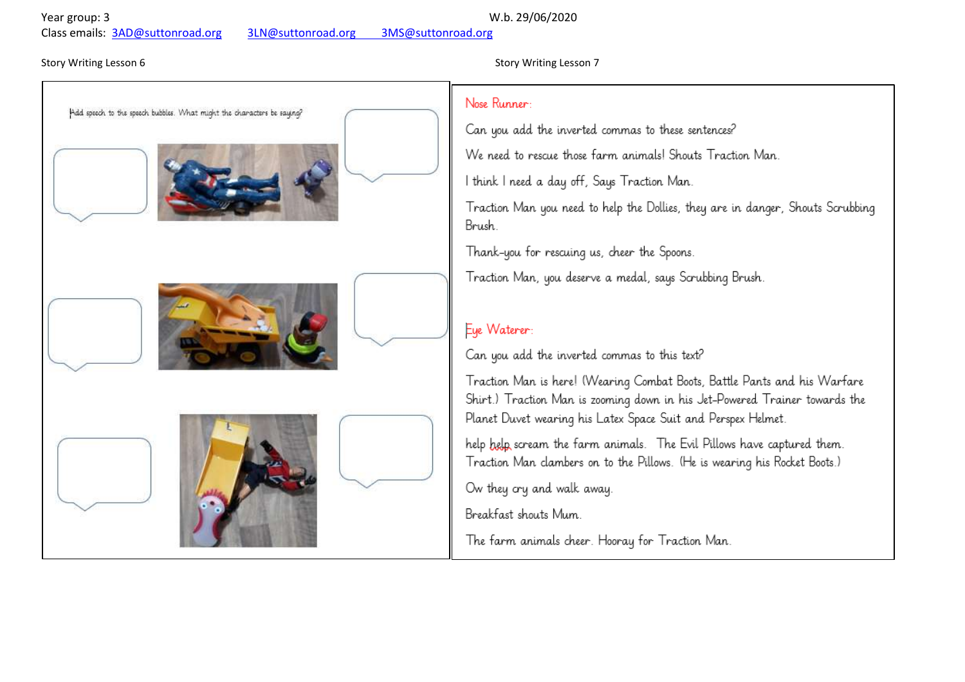Year group: 3 W.b. 29/06/2020

Class emails: [3AD@suttonroad.org](mailto:3AD@suttonroad.org) [3LN@suttonroad.org](mailto:3je@holgateprimary.org) 3MS@suttonroad.org

# Add speech to the speech bubbles. What might the characters be saying?

# Story Writing Lesson 6 Story Writing Lesson 7 Story Writing Lesson 7

# Nose Runner

Can you add the inverted commas to these sentences?

We need to rescue those farm animals! Shouts Traction Man.

I think I need a day off, Says Traction Man.

Traction Man you need to help the Dollies, they are in danger, Shouts Scrubbing Brush.

Thank-you for rescuing us, cheer the Spoons.

Traction Man, you deserve a medal, says Scrubbing Brush.

# Eye Waterer:

Can you add the inverted commas to this text?

Traction Man is here! (Wearing Combat Boots, Battle Pants and his Warfare Shirt.) Traction Man is zooming down in his Jet-Powered Trainer towards the Planet Duvet wearing his Latex Space Suit and Perspex Helmet.

help help scream the farm animals. The Evil Pillows have captured them. Traction Man clambers on to the Pillows. (He is wearing his Rocket Boots.)

Ow they cry and walk away.

Breakfast shouts Mum.

The farm animals cheer. Hooray for Traction Man.